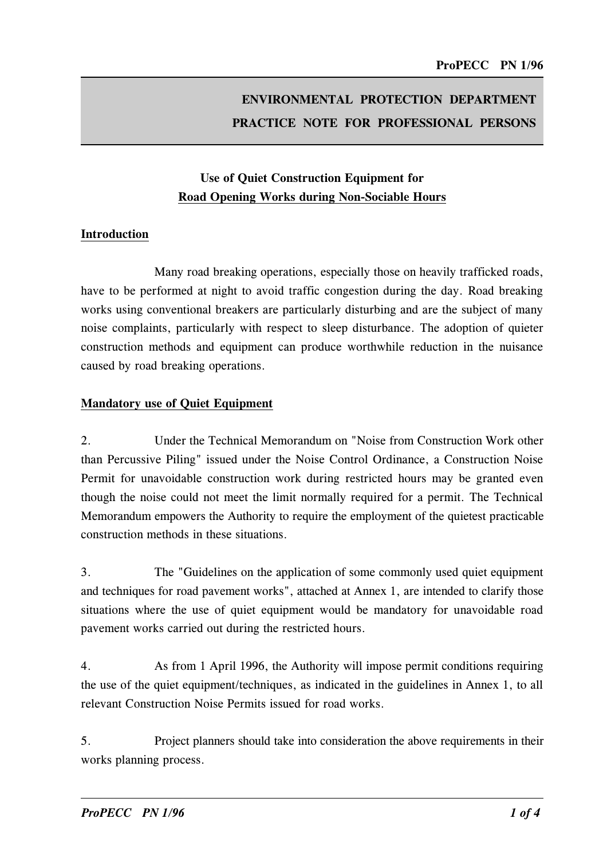# ENVIRONMENTAL PROTECTION DEPARTMENT PRACTICE NOTE FOR PROFESSIONAL PERSONS

# Use of Quiet Construction Equipment for Road Openin� Works durin� Non-Sociable Hours

### Introduction

Many road breaking operations, especially those on heavily trafficked roads, have to be performed at night to avoid traffic congestion during the day. Road breaking works using conventional breakers are particularly disturbing and are the subject of many noise complaints, particularly with respect to sleep disturbance. The adoption of quieter construction methods and equipment can produce worthwhile reduction in the nuisance caused by road breaking operations.

### Mandatory use of Quiet Equipment

2. Under the Technical Memorandum on "Noise from Construction Work other than Percussive Piling" issued under the Noise Control Ordinance, a Construction Noise Permit for unavoidable construction work during restricted hours may be granted even though the noise could not meet the limit normally required for a permit. The Technical Memorandum empowers the Authority to require the employment of the quietest practicable construction methods in these situations.

3. The "Guidelines on the application of some commonly used quiet equipment and techniques for road pavement works", attached at Annex 1, are intended to clarify those situations where the use of quiet equipment would be mandatory for unavoidable road pavement works carried out during the restricted hours.

4. As from 1 April 1996, the Authority will impose permit conditions requiring the use of the quiet equipment/techniques, as indicated in the guidelines in Annex 1, to all relevant Construction Noise Permits issued for road works.

5. Project planners should take into consideration the above requirements in their works planning process.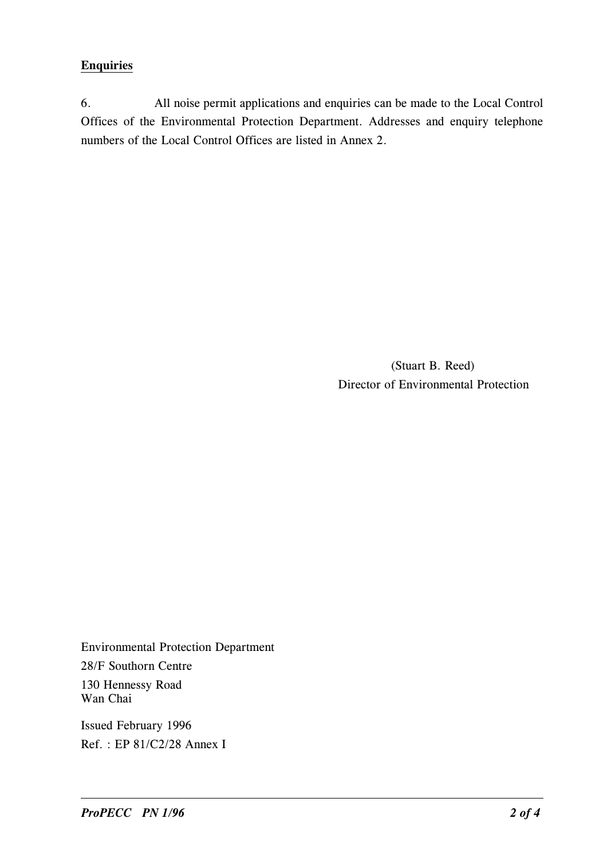### **Enquiries**

6. All noise permit applications and enquiries can be made to the Local Control Offices of the Environmental Protection Department. Addresses and enquiry telephone numbers of the Local Control Offices are listed in Annex 2.

> (Stuart B. Reed) Director of Environmental Protection

Environmental Protection Department 28/F Southorn Centre 130 Hennessy Road Wan Chai

Issued February 1996 Ref. : EP 81/C2/28 Annex I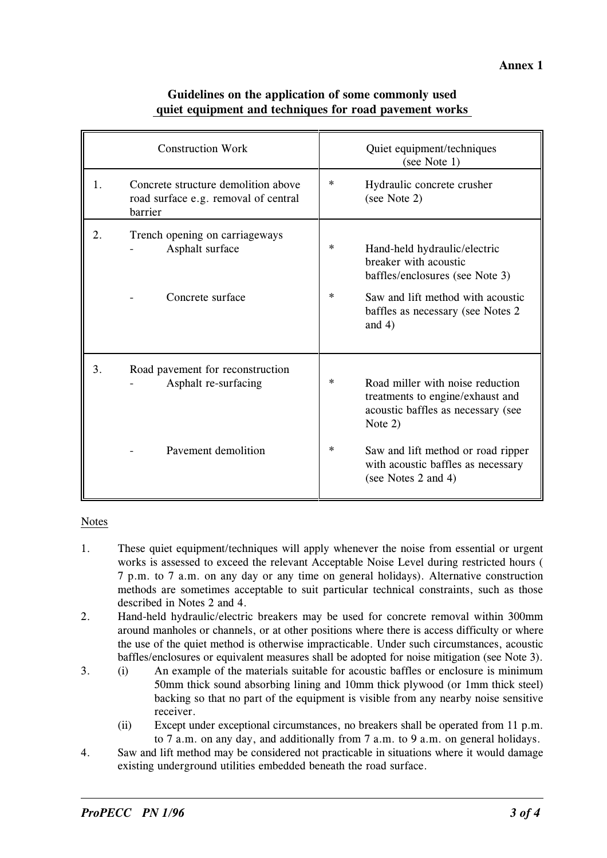| <b>Construction Work</b> |                                                                                        | Quiet equipment/techniques<br>(see Note 1) |                                                                                                                         |  |  |
|--------------------------|----------------------------------------------------------------------------------------|--------------------------------------------|-------------------------------------------------------------------------------------------------------------------------|--|--|
| 1.                       | Concrete structure demolition above<br>road surface e.g. removal of central<br>barrier | *                                          | Hydraulic concrete crusher<br>(see Note 2)                                                                              |  |  |
| 2.                       | Trench opening on carriageways<br>Asphalt surface                                      | *<br>$\ast$                                | Hand-held hydraulic/electric<br>breaker with acoustic<br>baffles/enclosures (see Note 3)                                |  |  |
|                          | Concrete surface                                                                       |                                            | Saw and lift method with acoustic<br>baffles as necessary (see Notes 2)<br>and $4)$                                     |  |  |
| 3.                       | Road pavement for reconstruction                                                       |                                            |                                                                                                                         |  |  |
|                          | Asphalt re-surfacing                                                                   | *                                          | Road miller with noise reduction<br>treatments to engine/exhaust and<br>acoustic baffles as necessary (see<br>Note $2)$ |  |  |
|                          | Pavement demolition                                                                    | $\ast$                                     | Saw and lift method or road ripper<br>with acoustic baffles as necessary<br>(see Notes 2 and 4)                         |  |  |

### Guidelines on the application of some commonly used quiet equipment and techniques for road pavement works

### Notes

- 1. These quiet equipment/techniques will apply whenever the noise from essential or urgent works is assessed to exceed the relevant Acceptable Noise Level during restricted hours ( 7 p.m. to 7 a.m. on any day or any time on general holidays). Alternative construction methods are sometimes acceptable to suit particular technical constraints, such as those described in Notes 2 and 4.
- 2. Hand-held hydraulic/electric breakers may be used for concrete removal within 300mm around manholes or channels, or at other positions where there is access difficulty or where the use of the quiet method is otherwise impracticable. Under such circumstances, acoustic baffles/enclosures or equivalent measures shall be adopted for noise mitigation (see Note 3).
- 3. (i) An example of the materials suitable for acoustic baffles or enclosure is minimum 50mm thick sound absorbing lining and 10mm thick plywood (or 1mm thick steel) backing so that no part of the equipment is visible from any nearby noise sensitive receiver.
	- (ii) Except under exceptional circumstances, no breakers shall be operated from 11 p.m. to 7 a.m. on any day, and additionally from 7 a.m. to 9 a.m. on general holidays.
- 4. Saw and lift method may be considered not practicable in situations where it would damage existing underground utilities embedded beneath the road surface.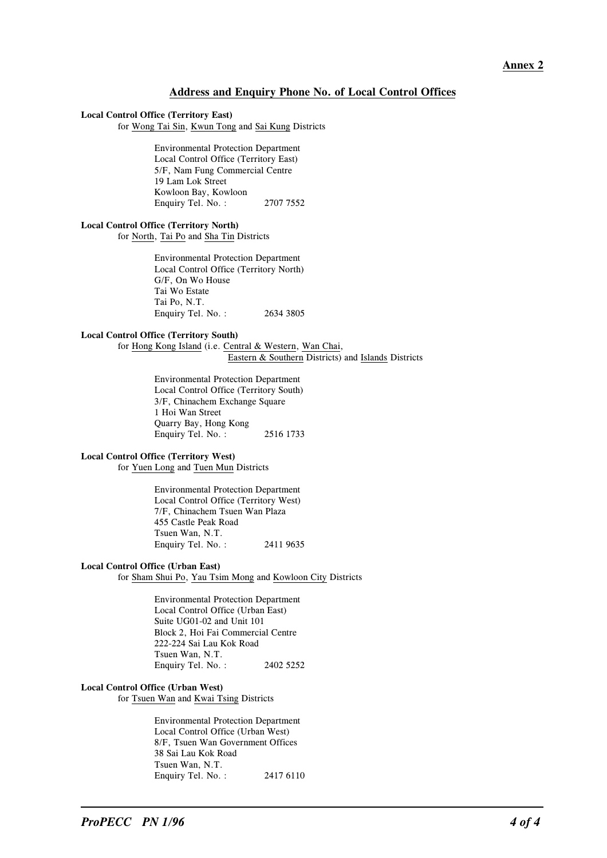#### Address and Enquiry Phone No. of Local Control Offices

#### Local Control Office (Territory East)

for Wong Tai Sin, Kwun Tong and Sai Kung Districts

Environmental Protection Department Local Control Office (Territory East) 5/F, Nam Fung Commercial Centre 19 Lam Lok Street Kowloon Bay, Kowloon Enquiry Tel. No. : 2707 7552

#### Local Control Office (Territory North)

for North, Tai Po and Sha Tin Districts

Environmental Protection Department Local Control Office (Territory North) G/F, On Wo House Tai Wo Estate Tai Po, N.T. Enquiry Tel. No. : 2634 3805

#### Local Control Office (Territory South)

for Hong Kong Island (i.e. Central & Western, Wan Chai, Eastern & Southern Districts) and Islands Districts

> Environmental Protection Department Local Control Office (Territory South) 3/F, Chinachem Exchange Square 1 Hoi Wan Street Quarry Bay, Hong Kong Enquiry Tel. No. : 2516 1733

#### Local Control Office (Territory West)

for Yuen Long and Tuen Mun Districts

Environmental Protection Department Local Control Office (Territory West) 7/F, Chinachem Tsuen Wan Plaza 455 Castle Peak Road Tsuen Wan, N.T. Enquiry Tel. No. : 2411 9635

#### Local Control Office (Urban East)

for Sham Shui Po, Yau Tsim Mong and Kowloon City Districts

Environmental Protection Department Local Control Office (Urban East) Suite UG01-02 and Unit 101 Block 2, Hoi Fai Commercial Centre 222-224 Sai Lau Kok Road Tsuen Wan, N.T. Enquiry Tel. No. : 2402 5252

#### Local Control Office (Urban West)

for Tsuen Wan and Kwai Tsing Districts

Environmental Protection Department Local Control Office (Urban West) 8/F, Tsuen Wan Government Offices 38 Sai Lau Kok Road Tsuen Wan, N.T. Enquiry Tel. No. : 2417 6110